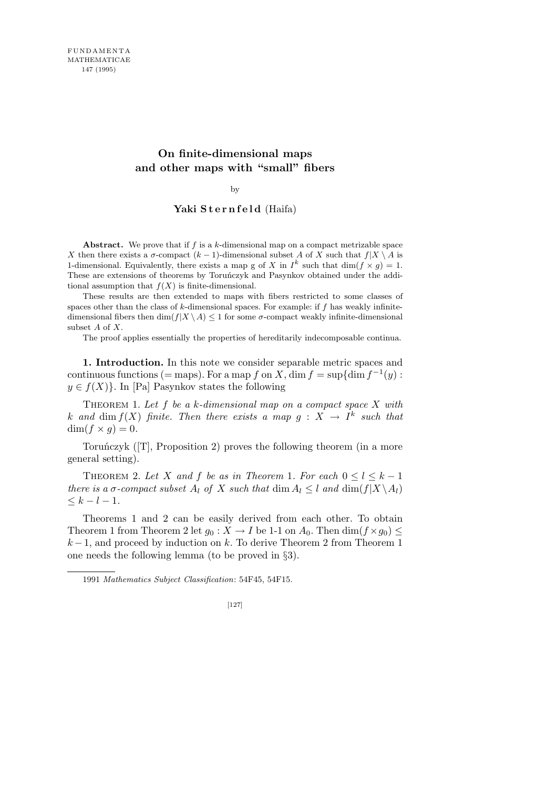## **On finite-dimensional maps and other maps with "small" fibers**

by

## Yaki Sternfeld (Haifa)

**Abstract.** We prove that if *f* is a *k*-dimensional map on a compact metrizable space *X* then there exists a *σ*-compact ( $k$  − 1)-dimensional subset *A* of *X* such that  $f|X \setminus A$  is 1-dimensional. Equivalently, there exists a map g of *X* in  $I^k$  such that dim( $f \times g$ ) = 1. These are extensions of theorems by Toruńczyk and Pasynkov obtained under the additional assumption that  $f(X)$  is finite-dimensional.

These results are then extended to maps with fibers restricted to some classes of spaces other than the class of *k*-dimensional spaces. For example: if *f* has weakly infinitedimensional fibers then  $\dim(f|X \setminus A) \leq 1$  for some *σ*-compact weakly infinite-dimensional subset *A* of *X*.

The proof applies essentially the properties of hereditarily indecomposable continua.

**1. Introduction.** In this note we consider separable metric spaces and continuous functions (= maps). For a map *f* on *X*, dim  $f = \sup\{\dim f^{-1}(y) :$  $y \in f(X)$ . In [Pa] Pasynkov states the following

Theorem 1. *Let f be a k-dimensional map on a compact space X with k* and dim  $f(X)$  *finite. Then there exists a map*  $g: X \rightarrow I^k$  *such that*  $\dim(f \times g) = 0.$ 

Toruńczyk ([T], Proposition 2) proves the following theorem (in a more general setting).

THEOREM 2. Let *X* and *f* be as in Theorem 1. For each  $0 \leq l \leq k-1$ *there is a σ*-compact subset  $A_l$  *of*  $X$  *such that* dim  $A_l \leq l$  *and* dim( $f|X \setminus A_l$ )  $\leq k - l - 1$ .

Theorems 1 and 2 can be easily derived from each other. To obtain Theorem 1 from Theorem 2 let  $g_0: X \to I$  be 1-1 on  $A_0$ . Then  $\dim(f \times g_0) \leq$ *k* − 1, and proceed by induction on *k*. To derive Theorem 2 from Theorem 1 one needs the following lemma (to be proved in *§*3).

<sup>1991</sup> *Mathematics Subject Classification*: 54F45, 54F15.

<sup>[127]</sup>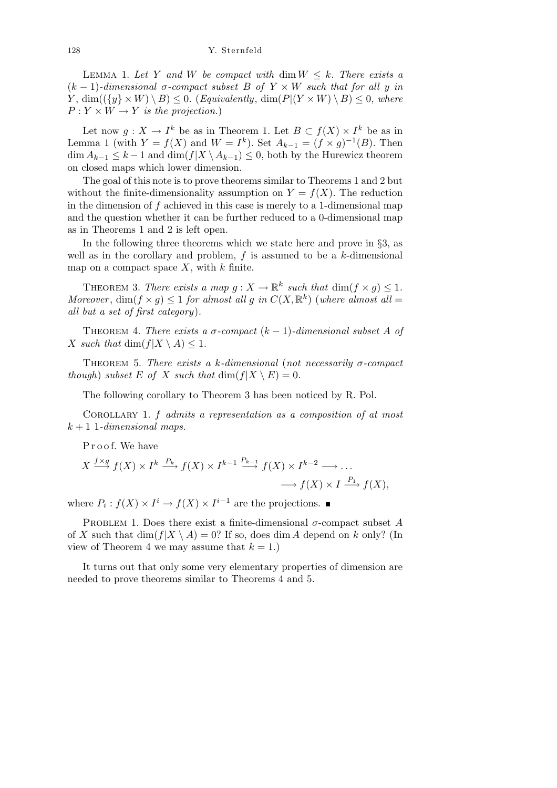LEMMA 1. Let Y and W be compact with dim  $W \leq k$ . There exists a  $(k-1)$ -dimensional  $\sigma$ -compact subset  $B$  of  $Y \times W$  such that for all  $y$  in *Y*, dim( $({q \times W) \setminus B} < 0$ . (*Equivalently*, dim( $P|(Y \times W) \setminus B) < 0$ , where  $P: Y \times W \rightarrow Y$  *is the projection.*)

Let now  $g: X \to I^k$  be as in Theorem 1. Let  $B \subset f(X) \times I^k$  be as in Lemma 1 (with  $Y = f(X)$  and  $W = I^k$ ). Set  $A_{k-1} = (f \times g)^{-1}(B)$ . Then dim  $A_{k-1}$  ≤  $k-1$  and dim( $f|X \setminus A_{k-1}$ ) ≤ 0, both by the Hurewicz theorem on closed maps which lower dimension.

The goal of this note is to prove theorems similar to Theorems 1 and 2 but without the finite-dimensionality assumption on  $Y = f(X)$ . The reduction in the dimension of *f* achieved in this case is merely to a 1-dimensional map and the question whether it can be further reduced to a 0-dimensional map as in Theorems 1 and 2 is left open.

In the following three theorems which we state here and prove in *§*3, as well as in the corollary and problem, *f* is assumed to be a *k*-dimensional map on a compact space *X*, with *k* finite.

THEOREM 3. *There exists a map*  $g: X \to \mathbb{R}^k$  such that  $\dim(f \times g) \leq 1$ . *Moreover*,  $\dim(f \times g) \leq 1$  *for almost all g in*  $C(X, \mathbb{R}^k)$  (*where almost all* = *all but a set of first category*)*.*

THEOREM 4. *There exists a*  $\sigma$ -compact  $(k-1)$ -dimensional subset A of *X such that* dim( $f|X \setminus A$ ) < 1*.* 

Theorem 5. *There exists a k-dimensional* (*not necessarily σ-compact though*) *subset*  $E$  *of*  $X$  *such that*  $\dim(f|X \setminus E) = 0$ *.* 

The following corollary to Theorem 3 has been noticed by R. Pol.

Corollary 1. *f admits a representation as a composition of at most*  $k+1$  1-dimensional maps.

Proof. We have

$$
X \xrightarrow{f \times g} f(X) \times I^k \xrightarrow{P_k} f(X) \times I^{k-1} \xrightarrow{P_{k-1}} f(X) \times I^{k-2} \longrightarrow \dots
$$

$$
\longrightarrow f(X) \times I \xrightarrow{P_1} f(X),
$$

where  $P_i: f(X) \times I^i \to f(X) \times I^{i-1}$  are the projections.

PROBLEM 1. Does there exist a finite-dimensional  $\sigma$ -compact subset A of *X* such that  $\dim(f|X \setminus A) = 0$ ? If so, does dim *A* depend on *k* only? (In view of Theorem 4 we may assume that  $k = 1$ .)

It turns out that only some very elementary properties of dimension are needed to prove theorems similar to Theorems 4 and 5.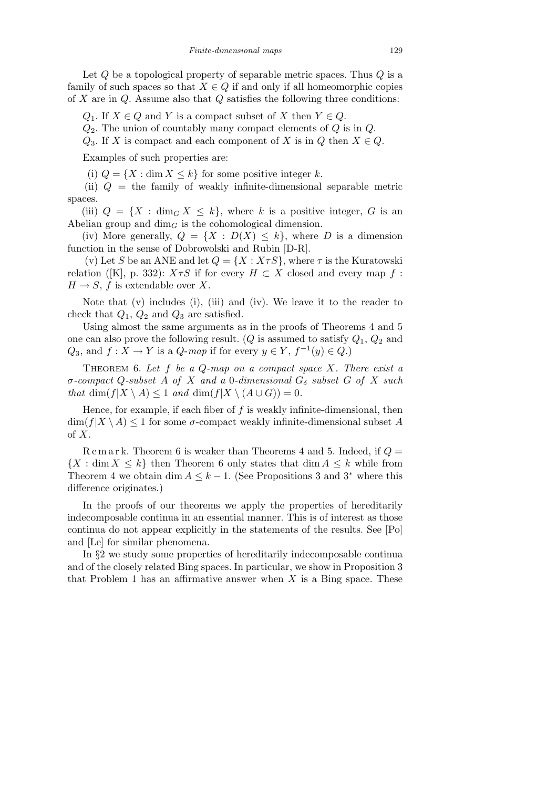Let *Q* be a topological property of separable metric spaces. Thus *Q* is a family of such spaces so that  $X \in Q$  if and only if all homeomorphic copies of *X* are in *Q*. Assume also that *Q* satisfies the following three conditions:

*Q*<sub>1</sub>. If  $X \in Q$  and *Y* is a compact subset of *X* then  $Y \in Q$ .

*Q*2. The union of countably many compact elements of *Q* is in *Q*.

*Q*<sub>3</sub>. If *X* is compact and each component of *X* is in *Q* then  $X \in Q$ .

Examples of such properties are:

(i)  $Q = \{X : \dim X \leq k\}$  for some positive integer *k*.

(ii) *Q* = the family of weakly infinite-dimensional separable metric spaces.

(iii)  $Q = \{X : \dim_G X \leq k\}$ , where *k* is a positive integer, *G* is an Abelian group and  $\dim_G$  is the cohomological dimension.

(iv) More generally,  $Q = \{X : D(X) \leq k\}$ , where *D* is a dimension function in the sense of Dobrowolski and Rubin [D-R].

(v) Let *S* be an ANE and let  $Q = \{X : X \tau S\}$ , where  $\tau$  is the Kuratowski relation ([K], p. 332):  $X \tau S$  if for every  $H \subset X$  closed and every map  $f$ :  $H \rightarrow S$ , *f* is extendable over *X*.

Note that (v) includes (i), (iii) and (iv). We leave it to the reader to check that *Q*1, *Q*<sup>2</sup> and *Q*<sup>3</sup> are satisfied.

Using almost the same arguments as in the proofs of Theorems 4 and 5 one can also prove the following result. (*Q* is assumed to satisfy  $Q_1$ ,  $Q_2$  and  $Q_3$ , and  $f: X \to Y$  is a  $Q$ -*map* if for every  $y \in Y$ ,  $f^{-1}(y) \in Q$ .)

Theorem 6. *Let f be a Q-map on a compact space X. There exist a σ-compact Q-subset A of X and a* 0*-dimensional G<sup>δ</sup> subset G of X such that* dim( $f|X \setminus A$ )  $\leq 1$  *and* dim( $f|X \setminus (A \cup G)$ ) = 0*.* 

Hence, for example, if each fiber of *f* is weakly infinite-dimensional, then  $\dim(f|X \setminus A) \leq 1$  for some  $\sigma$ -compact weakly infinite-dimensional subset A of *X*.

R e m a r k. Theorem 6 is weaker than Theorems 4 and 5. Indeed, if *Q* =  ${X : \dim X \leq k}$  then Theorem 6 only states that  $\dim A \leq k$  while from Theorem 4 we obtain dim  $A \leq k-1$ . (See Propositions 3 and 3<sup>\*</sup> where this difference originates.)

In the proofs of our theorems we apply the properties of hereditarily indecomposable continua in an essential manner. This is of interest as those continua do not appear explicitly in the statements of the results. See [Po] and [Le] for similar phenomena.

In *§*2 we study some properties of hereditarily indecomposable continua and of the closely related Bing spaces. In particular, we show in Proposition 3 that Problem 1 has an affirmative answer when *X* is a Bing space. These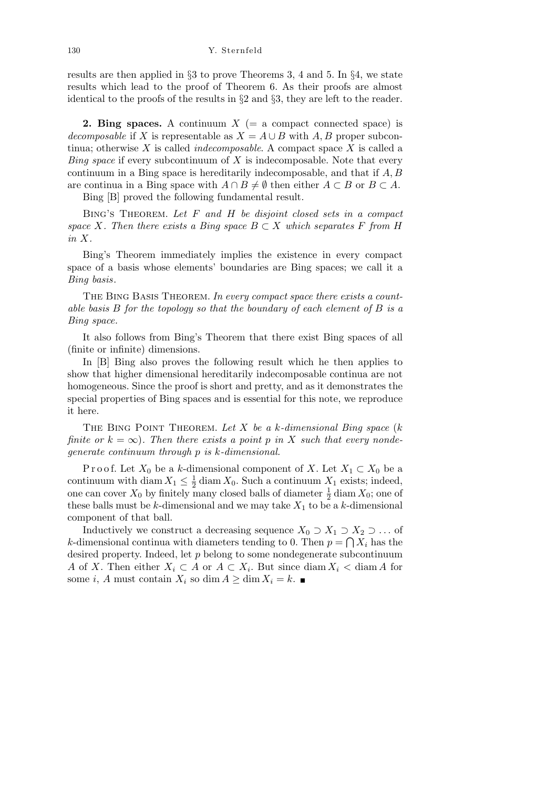results are then applied in *§*3 to prove Theorems 3, 4 and 5. In *§*4, we state results which lead to the proof of Theorem 6. As their proofs are almost identical to the proofs of the results in *§*2 and *§*3, they are left to the reader.

**2. Bing spaces.** A continuum  $X$  (= a compact connected space) is *decomposable* if *X* is representable as  $X = A \cup B$  with  $A, B$  proper subcontinua; otherwise *X* is called *indecomposable*. A compact space *X* is called a *Bing space* if every subcontinuum of *X* is indecomposable. Note that every continuum in a Bing space is hereditarily indecomposable, and that if *A, B* are continua in a Bing space with  $A \cap B \neq \emptyset$  then either  $A \subset B$  or  $B \subset A$ .

Bing [B] proved the following fundamental result.

Bing's Theorem. *Let F and H be disjoint closed sets in a compact space X. Then there exists a Bing space*  $B \subset X$  *which separates F from H in X.*

Bing's Theorem immediately implies the existence in every compact space of a basis whose elements' boundaries are Bing spaces; we call it a *Bing basis*.

The Bing Basis Theorem. *In every compact space there exists a countable basis B for the topology so that the boundary of each element of B is a Bing space.*

It also follows from Bing's Theorem that there exist Bing spaces of all (finite or infinite) dimensions.

In [B] Bing also proves the following result which he then applies to show that higher dimensional hereditarily indecomposable continua are not homogeneous. Since the proof is short and pretty, and as it demonstrates the special properties of Bing spaces and is essential for this note, we reproduce it here.

The Bing Point Theorem. *Let X be a k-dimensional Bing space* (*k finite or*  $k = \infty$ ). Then there exists a point p in X such that every nonde*generate continuum through p is k-dimensional.*

Proof. Let  $X_0$  be a *k*-dimensional component of  $X$ . Let  $X_1 \subset X_0$  be a continuum with diam  $X_1 \leq \frac{1}{2}$  $\frac{1}{2}$  diam  $X_0$ . Such a continuum  $X_1$  exists; indeed, one can cover  $X_0$  by finitely many closed balls of diameter  $\frac{1}{2}$  diam  $X_0$ ; one of these balls must be  $k$ -dimensional and we may take  $X_1$  to be a  $k$ -dimensional component of that ball.

Inductively we construct a decreasing sequence  $X_0 \supset X_1 \supset X_2 \supset \ldots$  of *k*-dimensional continua with diameters tending to 0. Then  $p = \bigcap X_i$  has the desired property. Indeed, let *p* belong to some nondegenerate subcontinuum *A* of *X*. Then either  $X_i \subset A$  or  $A \subset X_i$ . But since diam  $X_i <$  diam *A* for some *i*, *A* must contain  $X_i$  so dim  $A \geq \dim X_i = k$ .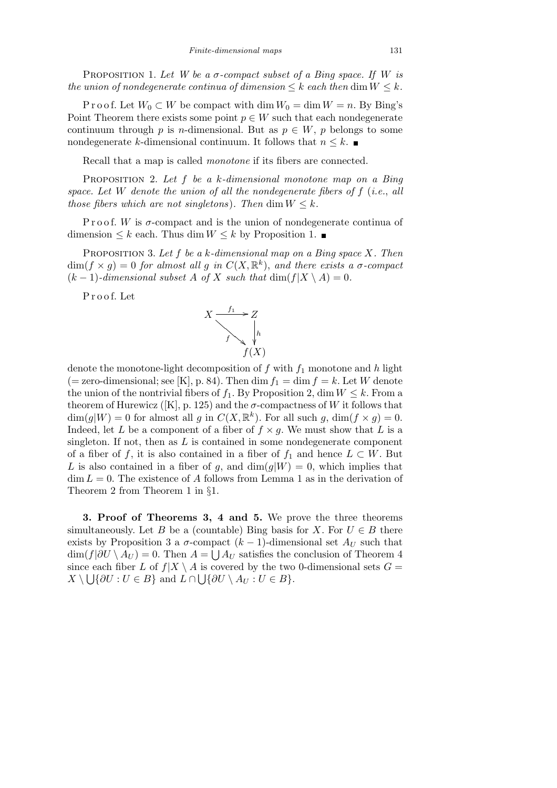PROPOSITION 1. Let W be a  $\sigma$ -compact subset of a Bing space. If W is *the union of nondegenerate continua of dimension*  $\leq k$  *each then* dim  $W \leq k$ *.* 

P r o o f. Let  $W_0 \subset W$  be compact with dim  $W_0 = \dim W = n$ . By Bing's Point Theorem there exists some point  $p \in W$  such that each nondegenerate continuum through *p* is *n*-dimensional. But as  $p \in W$ , *p* belongs to some nondegenerate *k*-dimensional continuum. It follows that  $n \leq k$ .

Recall that a map is called *monotone* if its fibers are connected.

Proposition 2. *Let f be a k-dimensional monotone map on a Bing space. Let W denote the union of all the nondegenerate fibers of f* (*i.e.*, *all those fibers which are not singletons*). Then  $\dim W \leq k$ .

P r o o f. *W* is  $\sigma$ -compact and is the union of nondegenerate continua of dimension  $\leq k$  each. Thus dim  $W \leq k$  by Proposition 1. ■

Proposition 3. *Let f be a k-dimensional map on a Bing space X. Then*  $\dim(f \times g) = 0$  *for almost all g in*  $C(X, \mathbb{R}^k)$ , *and there exists a σ*-compact  $(k-1)$ -dimensional subset *A* of *X* such that dim( $f|X \setminus A$ ) = 0.

P r o o f. Let



denote the monotone-light decomposition of *f* with *f*<sup>1</sup> monotone and *h* light  $(=$  zero-dimensional; see [K], p. 84). Then dim  $f_1 = \dim f = k$ . Let *W* denote the union of the nontrivial fibers of  $f_1$ . By Proposition 2, dim  $W \leq k$ . From a theorem of Hurewicz ([K], p. 125) and the  $\sigma$ -compactness of *W* it follows that  $\dim(g|W) = 0$  for almost all *g* in  $C(X, \mathbb{R}^k)$ . For all such *g*,  $\dim(f \times g) = 0$ . Indeed, let *L* be a component of a fiber of  $f \times g$ . We must show that *L* is a singleton. If not, then as *L* is contained in some nondegenerate component of a fiber of *f*, it is also contained in a fiber of  $f_1$  and hence  $L \subset W$ . But L is also contained in a fiber of g, and  $\dim(g|W) = 0$ , which implies that  $\dim L = 0$ . The existence of *A* follows from Lemma 1 as in the derivation of Theorem 2 from Theorem 1 in *§*1.

**3. Proof of Theorems 3, 4 and 5.** We prove the three theorems simultaneously. Let *B* be a (countable) Bing basis for *X*. For  $U \in B$  there exists by Proposition 3 a  $\sigma$ -compact ( $k - 1$ )-dimensional set  $A_U$  such that  $\dim(f|\partial U \setminus A_U) = 0$ . Then  $A = \bigcup A_U$  satisfies the conclusion of Theorem 4 since each fiber *L* of  $f|X \setminus A$  is covered by the two 0-dimensional sets  $G = X \setminus A$  is covered by the two 0-dimensional sets  $G =$  $X \setminus \bigcup \{ \partial U : U \in B \}$  and  $L \cap \bigcup \{ \partial U \setminus A_U : U \in B \}$ .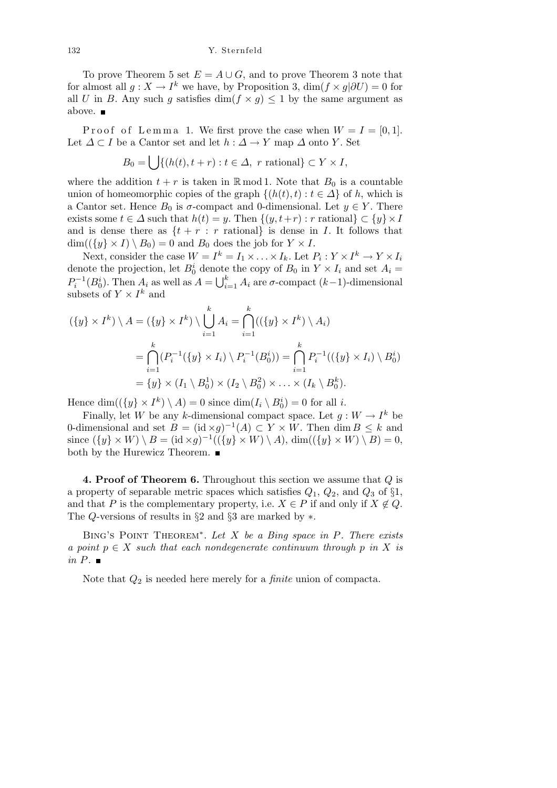To prove Theorem 5 set  $E = A \cup G$ , and to prove Theorem 3 note that for almost all  $g: X \to I^k$  we have, by Proposition 3,  $\dim(f \times g | \partial U) = 0$  for all *U* in *B*. Any such *g* satisfies dim( $f \times g$ )  $\leq 1$  by the same argument as above.

Proof of Lemma 1. We first prove the case when  $W = I = [0, 1]$ . Let  $\Delta \subset I$  be a Cantor set and let  $h : \Delta \to Y$  map  $\Delta$  onto *Y*. Set

$$
B_0 = \bigcup \{ (h(t), t + r) : t \in \Delta, \ r \text{ rational} \} \subset Y \times I,
$$

where the addition  $t + r$  is taken in  $\mathbb{R} \mod 1$ . Note that  $B_0$  is a countable union of homeomorphic copies of the graph  $\{(h(t), t) : t \in \Delta\}$  of *h*, which is a Cantor set. Hence  $B_0$  is  $\sigma$ -compact and 0-dimensional. Let  $y \in Y$ . There exists some *t* ∈  $\Delta$  such that  $h(t) = y$ . Then  $\{(y, t+r) : r \text{ rational}\}\subset \{y\}\times I$ and is dense there as  $\{t + r : r \text{ rational}\}$  is dense in *I*. It follows that  $\dim((\{y\} \times I) \setminus B_0) = 0$  and  $B_0$  does the job for  $Y \times I$ .

Next, consider the case  $W = I^k = I_1 \times \ldots \times I_k$ . Let  $P_i: Y \times I^k \to Y \times I_i$ denote the projection, let  $B_0^i$  denote the copy of  $B_0$  in  $Y \times I_i$  and set  $A_i =$  $P_i^{-1}(B_0^i)$ . Then  $A_i$  as well as  $A = \bigcup_{i=1}^k A_i$ *<sup>i</sup>*=1 *A<sup>i</sup>* are *σ*-compact (*k−*1)-dimensional subsets of  $Y \times I^k$  and

$$
(\{y\} \times I^k) \setminus A = (\{y\} \times I^k) \setminus \bigcup_{i=1}^k A_i = \bigcap_{i=1}^k ((\{y\} \times I^k) \setminus A_i)
$$
  
= 
$$
\bigcap_{i=1}^k (P_i^{-1}(\{y\} \times I_i) \setminus P_i^{-1}(B_0^i)) = \bigcap_{i=1}^k P_i^{-1}((\{y\} \times I_i) \setminus B_0^i)
$$
  
= 
$$
\{y\} \times (I_1 \setminus B_0^1) \times (I_2 \setminus B_0^2) \times \ldots \times (I_k \setminus B_0^k).
$$

Hence  $\dim((\{y\} \times I^k) \setminus A) = 0$  since  $\dim(I_i \setminus B_0^i) = 0$  for all *i*.

Finally, let *W* be any *k*-dimensional compact space. Let  $g: W \to I^k$  be 0-dimensional and set  $B = (\mathrm{id} \times g)^{-1}(A) \subset Y \times W$ . Then  $\dim B \leq k$  and since  $({y} \times W) \setminus B = (\text{id} \times g)^{-1}(( {y} \times W) \setminus A)$ , dim $(( {y} \times W) \setminus B) = 0$ , both by the Hurewicz Theorem.

**4. Proof of Theorem 6.** Throughout this section we assume that *Q* is a property of separable metric spaces which satisfies *Q*1, *Q*2, and *Q*<sup>3</sup> of *§*1, and that *P* is the complementary property, i.e.  $X \in P$  if and only if  $X \notin Q$ . The *Q*-versions of results in *§*2 and *§*3 are marked by *∗*.

Bing's Point Theorem*<sup>∗</sup>* . *Let X be a Bing space in P. There exists a* point  $p \in X$  *such that each nondegenerate continuum through*  $p$  *in*  $X$  *is in P.*

Note that *Q*<sup>2</sup> is needed here merely for a *finite* union of compacta.